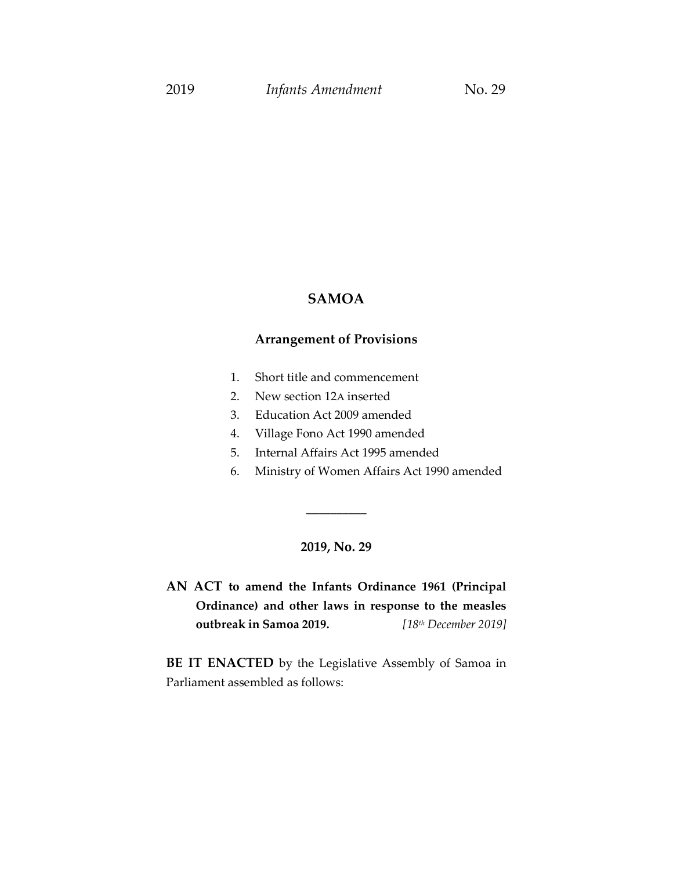### **SAMOA**

## **Arrangement of Provisions**

- 1. Short title and commencement
- 2. New section 12A inserted
- 3. Education Act 2009 amended
- 4. Village Fono Act 1990 amended
- 5. Internal Affairs Act 1995 amended
- 6. Ministry of Women Affairs Act 1990 amended

## **2019, No. 29**

\_\_\_\_\_\_\_\_\_\_

**AN ACT to amend the Infants Ordinance 1961 (Principal Ordinance) and other laws in response to the measles outbreak in Samoa 2019.** *[18 th December 2019]*

**BE IT ENACTED** by the Legislative Assembly of Samoa in Parliament assembled as follows: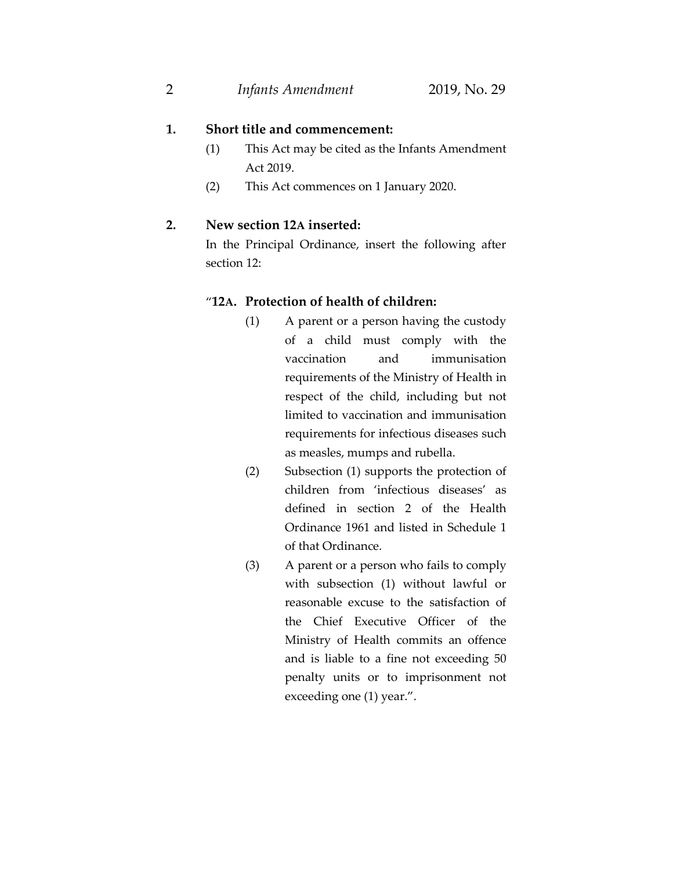## **1. Short title and commencement:**

- (1) This Act may be cited as the Infants Amendment Act 2019.
- (2) This Act commences on 1 January 2020.

## **2. New section 12A inserted:**

In the Principal Ordinance, insert the following after section 12:

### "**12A. Protection of health of children:**

- (1) A parent or a person having the custody of a child must comply with the vaccination and immunisation requirements of the Ministry of Health in respect of the child, including but not limited to vaccination and immunisation requirements for infectious diseases such as measles, mumps and rubella.
- (2) Subsection (1) supports the protection of children from 'infectious diseases' as defined in section 2 of the Health Ordinance 1961 and listed in Schedule 1 of that Ordinance.
- (3) A parent or a person who fails to comply with subsection (1) without lawful or reasonable excuse to the satisfaction of the Chief Executive Officer of the Ministry of Health commits an offence and is liable to a fine not exceeding 50 penalty units or to imprisonment not exceeding one (1) year.".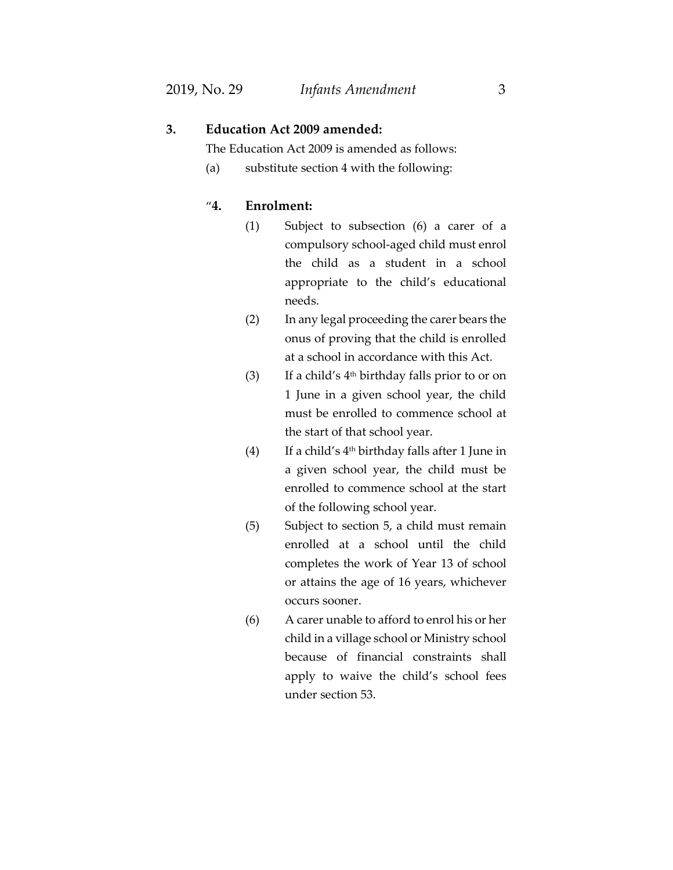## **3. Education Act 2009 amended:**

The Education Act 2009 is amended as follows:

(a) substitute section 4 with the following:

## "**4. Enrolment:**

- (1) Subject to subsection (6) a carer of a compulsory school-aged child must enrol the child as a student in a school appropriate to the child's educational needs.
- (2) In any legal proceeding the carer bears the onus of proving that the child is enrolled at a school in accordance with this Act.
- (3) If a child's  $4<sup>th</sup>$  birthday falls prior to or on 1 June in a given school year, the child must be enrolled to commence school at the start of that school year.
- (4) If a child's 4 th birthday falls after 1 June in a given school year, the child must be enrolled to commence school at the start of the following school year.
- (5) Subject to section 5, a child must remain enrolled at a school until the child completes the work of Year 13 of school or attains the age of 16 years, whichever occurs sooner.
- (6) A carer unable to afford to enrol his or her child in a village school or Ministry school because of financial constraints shall apply to waive the child's school fees under section 53.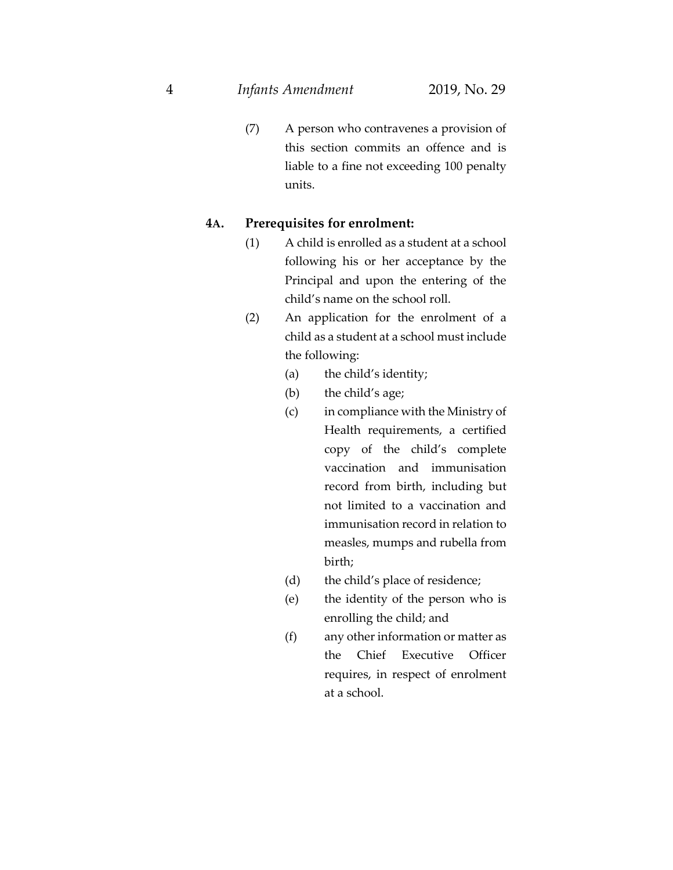(7) A person who contravenes a provision of this section commits an offence and is liable to a fine not exceeding 100 penalty units.

### **4A. Prerequisites for enrolment:**

- (1) A child is enrolled as a student at a school following his or her acceptance by the Principal and upon the entering of the child's name on the school roll.
- (2) An application for the enrolment of a child as a student at a school must include the following:
	- (a) the child's identity;
	- (b) the child's age;
	- (c) in compliance with the Ministry of Health requirements, a certified copy of the child's complete vaccination and immunisation record from birth, including but not limited to a vaccination and immunisation record in relation to measles, mumps and rubella from birth;
	- (d) the child's place of residence;
	- (e) the identity of the person who is enrolling the child; and
	- (f) any other information or matter as the Chief Executive Officer requires, in respect of enrolment at a school.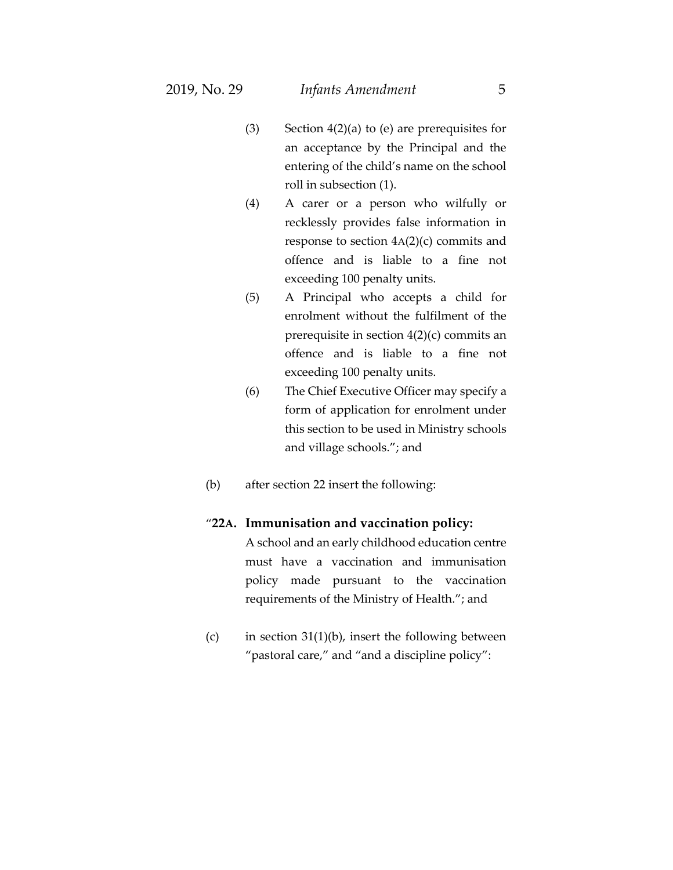- (3) Section 4(2)(a) to (e) are prerequisites for an acceptance by the Principal and the entering of the child's name on the school roll in subsection (1).
- (4) A carer or a person who wilfully or recklessly provides false information in response to section 4A(2)(c) commits and offence and is liable to a fine not exceeding 100 penalty units.
- (5) A Principal who accepts a child for enrolment without the fulfilment of the prerequisite in section 4(2)(c) commits an offence and is liable to a fine not exceeding 100 penalty units.
- (6) The Chief Executive Officer may specify a form of application for enrolment under this section to be used in Ministry schools and village schools."; and
- (b) after section 22 insert the following:

#### "**22A. Immunisation and vaccination policy:**

A school and an early childhood education centre must have a vaccination and immunisation policy made pursuant to the vaccination requirements of the Ministry of Health."; and

(c) in section  $31(1)(b)$ , insert the following between "pastoral care," and "and a discipline policy":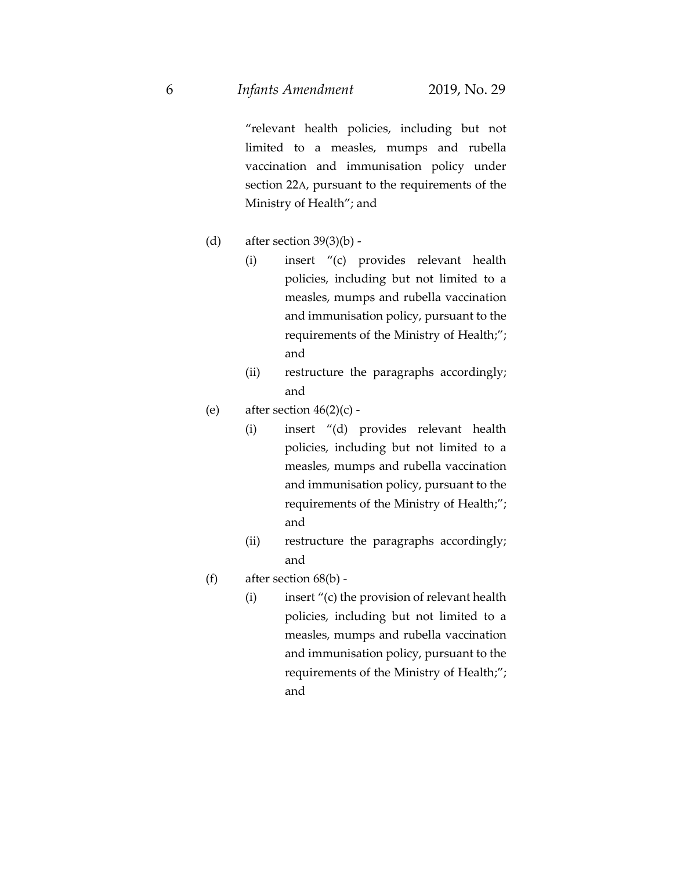"relevant health policies, including but not limited to a measles, mumps and rubella vaccination and immunisation policy under section 22A, pursuant to the requirements of the Ministry of Health"; and

- (d) after section 39(3)(b)
	- (i) insert "(c) provides relevant health policies, including but not limited to a measles, mumps and rubella vaccination and immunisation policy, pursuant to the requirements of the Ministry of Health;"; and
	- (ii) restructure the paragraphs accordingly; and
- (e) after section  $46(2)(c)$  -
	- (i) insert "(d) provides relevant health policies, including but not limited to a measles, mumps and rubella vaccination and immunisation policy, pursuant to the requirements of the Ministry of Health;"; and
	- (ii) restructure the paragraphs accordingly; and
- (f) after section  $68(b)$  -
	- (i) insert "(c) the provision of relevant health policies, including but not limited to a measles, mumps and rubella vaccination and immunisation policy, pursuant to the requirements of the Ministry of Health;"; and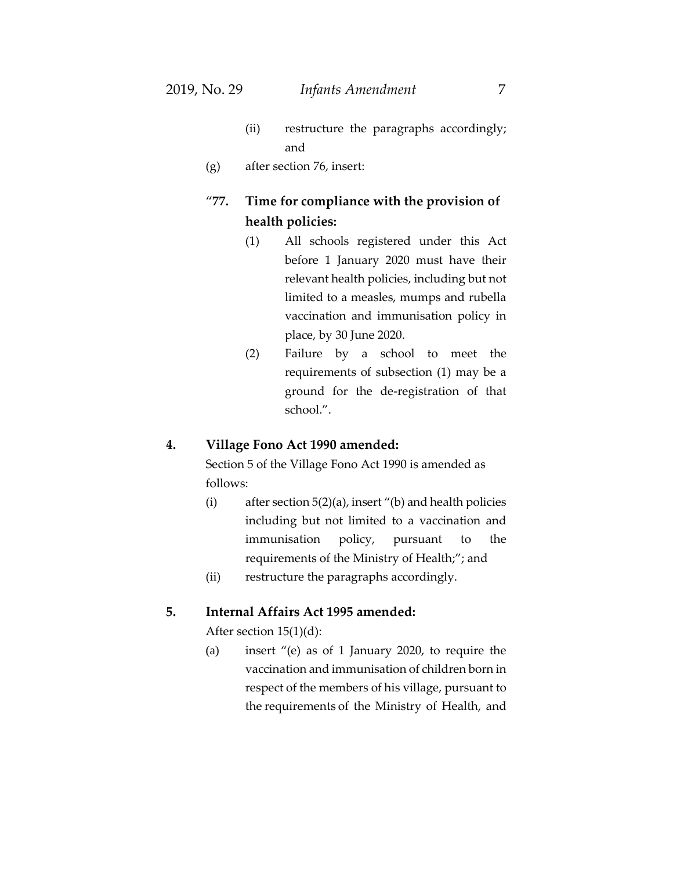- (ii) restructure the paragraphs accordingly; and
- (g) after section 76, insert:

# "**77. Time for compliance with the provision of health policies:**

- (1) All schools registered under this Act before 1 January 2020 must have their relevant health policies, including but not limited to a measles, mumps and rubella vaccination and immunisation policy in place, by 30 June 2020.
- (2) Failure by a school to meet the requirements of subsection (1) may be a ground for the de-registration of that school.".

#### **4. Village Fono Act 1990 amended:**

Section 5 of the Village Fono Act 1990 is amended as follows:

- (i) after section  $5(2)(a)$ , insert "(b) and health policies including but not limited to a vaccination and immunisation policy, pursuant to the requirements of the Ministry of Health;"; and
- (ii) restructure the paragraphs accordingly.

### **5. Internal Affairs Act 1995 amended:**

After section 15(1)(d):

(a) insert "(e) as of 1 January 2020, to require the vaccination and immunisation of children born in respect of the members of his village, pursuant to the requirements of the Ministry of Health, and